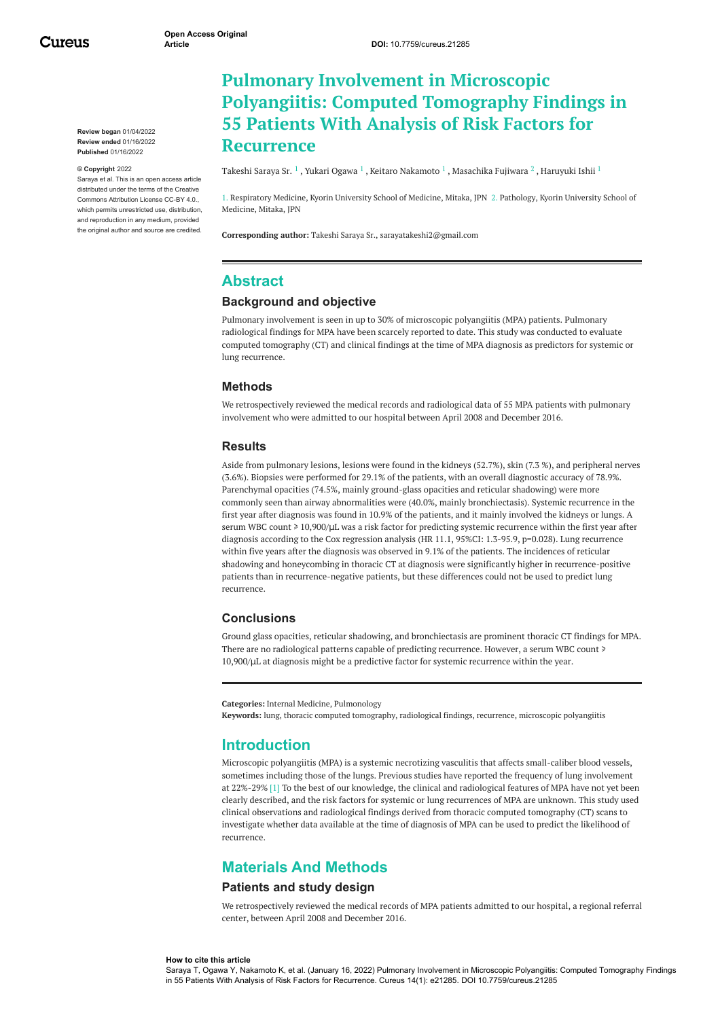Cureus

**Review began** 01/04/2022 **Review ended** 01/16/2022 **Published** 01/16/2022

#### **© Copyright** 2022

Saraya et al. This is an open access article distributed under the terms of the Creative Commons Attribution License CC-BY 4.0., which permits unrestricted use, distribution and reproduction in any medium, provided the original author and source are credited.

# **Pulmonary Involvement in Microscopic Polyangiitis: Computed Tomography Findings in 55 Patients With Analysis of Risk Factors for Recurrence**

[Takeshi](https://www.cureus.com/users/224737-takeshi-saraya-sr-) Saraya Sr.  $^1$  , Yukari [Ogawa](https://www.cureus.com/users/319213-yukari-ogawa)  $^1$  , Keitaro [Nakamoto](https://www.cureus.com/users/279133-keitaro-nakamoto)  $^1$  , [Masachika](https://www.cureus.com/users/319215-masachika-fujiwara) Fujiwara  $^2$  , [Haruyuki](https://www.cureus.com/users/224745-haruyuki-ishii) Ishii  $^1$ 

1. Respiratory Medicine, Kyorin University School of Medicine, Mitaka, JPN 2. Pathology, Kyorin University School of Medicine, Mitaka, JPN

**Corresponding author:** Takeshi Saraya Sr., sarayatakeshi2@gmail.com

## **Abstract**

### **Background and objective**

Pulmonary involvement is seen in up to 30% of microscopic polyangiitis (MPA) patients. Pulmonary radiological findings for MPA have been scarcely reported to date. This study was conducted to evaluate computed tomography (CT) and clinical findings at the time of MPA diagnosis as predictors for systemic or lung recurrence.

### **Methods**

We retrospectively reviewed the medical records and radiological data of 55 MPA patients with pulmonary involvement who were admitted to our hospital between April 2008 and December 2016.

### **Results**

Aside from pulmonary lesions, lesions were found in the kidneys (52.7%), skin (7.3 %), and peripheral nerves (3.6%). Biopsies were performed for 29.1% of the patients, with an overall diagnostic accuracy of 78.9%. Parenchymal opacities (74.5%, mainly ground-glass opacities and reticular shadowing) were more commonly seen than airway abnormalities were (40.0%, mainly bronchiectasis). Systemic recurrence in the first year after diagnosis was found in 10.9% of the patients, and it mainly involved the kidneys or lungs. A serum WBC count ≥ 10,900/µL was a risk factor for predicting systemic recurrence within the first year after diagnosis according to the Cox regression analysis (HR 11.1, 95%CI: 1.3-95.9, p=0.028). Lung recurrence within five years after the diagnosis was observed in 9.1% of the patients. The incidences of reticular shadowing and honeycombing in thoracic CT at diagnosis were significantly higher in recurrence-positive patients than in recurrence-negative patients, but these differences could not be used to predict lung recurrence.

### **Conclusions**

Ground glass opacities, reticular shadowing, and bronchiectasis are prominent thoracic CT findings for MPA. There are no radiological patterns capable of predicting recurrence. However, a serum WBC count  $\ge$ 10,900/μL at diagnosis might be a predictive factor for systemic recurrence within the year.

```
Categories: Internal Medicine, Pulmonology
Keywords: lung, thoracic computed tomography, radiological findings, recurrence, microscopic polyangiitis
```
### **Introduction**

Microscopic polyangiitis (MPA) is a systemic necrotizing vasculitis that affects small-caliber blood vessels, sometimes including those of the lungs. Previous studies have reported the frequency of lung involvement at 22%-29% [1] To the best of our knowledge, the clinical and radiological features of MPA have not yet been clearly described, and the risk factors for systemic or lung recurrences of MPA are unknown. This study used clinical observations and radiological findings derived from thoracic computed tomography (CT) scans to investigate whether data available at the time of diagnosis of MPA can be used to predict the likelihood of recurrence.

## **Materials And Methods**

#### **Patients and study design**

We retrospectively reviewed the medical records of MPA patients admitted to our hospital, a regional referral center, between April 2008 and December 2016.

#### **How to cite this article**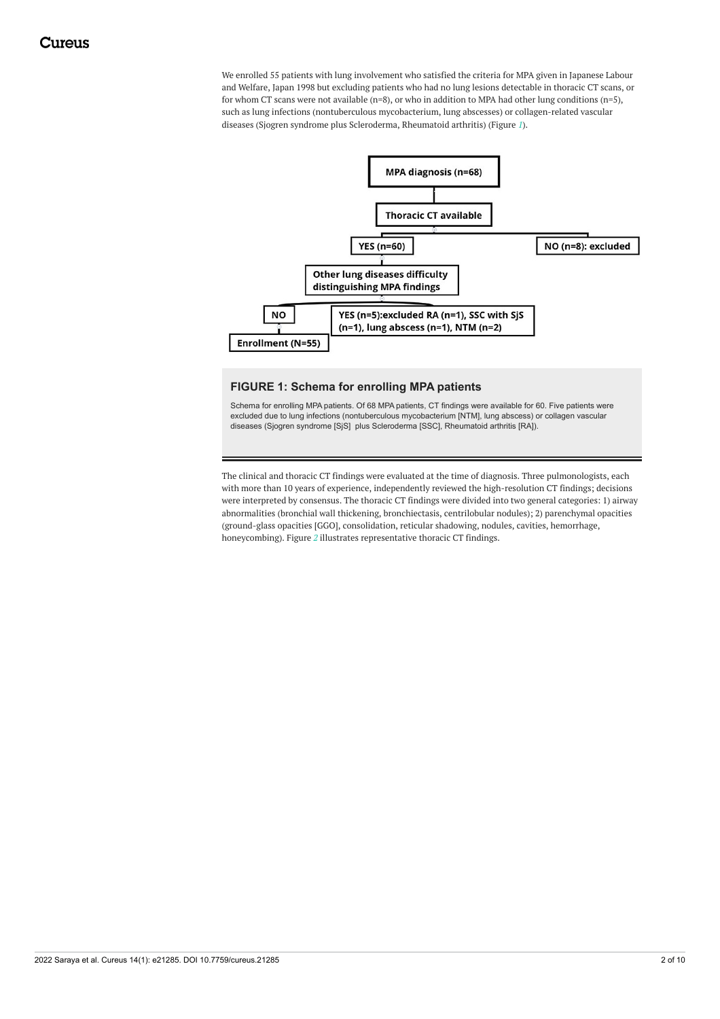We enrolled 55 patients with lung involvement who satisfied the criteria for MPA given in Japanese Labour and Welfare, Japan 1998 but excluding patients who had no lung lesions detectable in thoracic CT scans, or for whom CT scans were not available (n=8), or who in addition to MPA had other lung conditions (n=5), such as lung infections (nontuberculous mycobacterium, lung abscesses) or collagen-related vascular diseases (Sjogren syndrome plus Scleroderma, Rheumatoid arthritis) (Figure *[1](#page-1-0)*).

<span id="page-1-0"></span>

### **FIGURE 1: Schema for enrolling MPA patients**

Schema for enrolling MPA patients. Of 68 MPA patients, CT findings were available for 60. Five patients were excluded due to lung infections (nontuberculous mycobacterium [NTM], lung abscess) or collagen vascular diseases (Sjogren syndrome [SjS] plus Scleroderma [SSC], Rheumatoid arthritis [RA]).

The clinical and thoracic CT findings were evaluated at the time of diagnosis. Three pulmonologists, each with more than 10 years of experience, independently reviewed the high-resolution CT findings; decisions were interpreted by consensus. The thoracic CT findings were divided into two general categories: 1) airway abnormalities (bronchial wall thickening, bronchiectasis, centrilobular nodules); 2) parenchymal opacities (ground-glass opacities [GGO], consolidation, reticular shadowing, nodules, cavities, hemorrhage, honeycombing). Figure *[2](#page-2-0)* illustrates representative thoracic CT findings.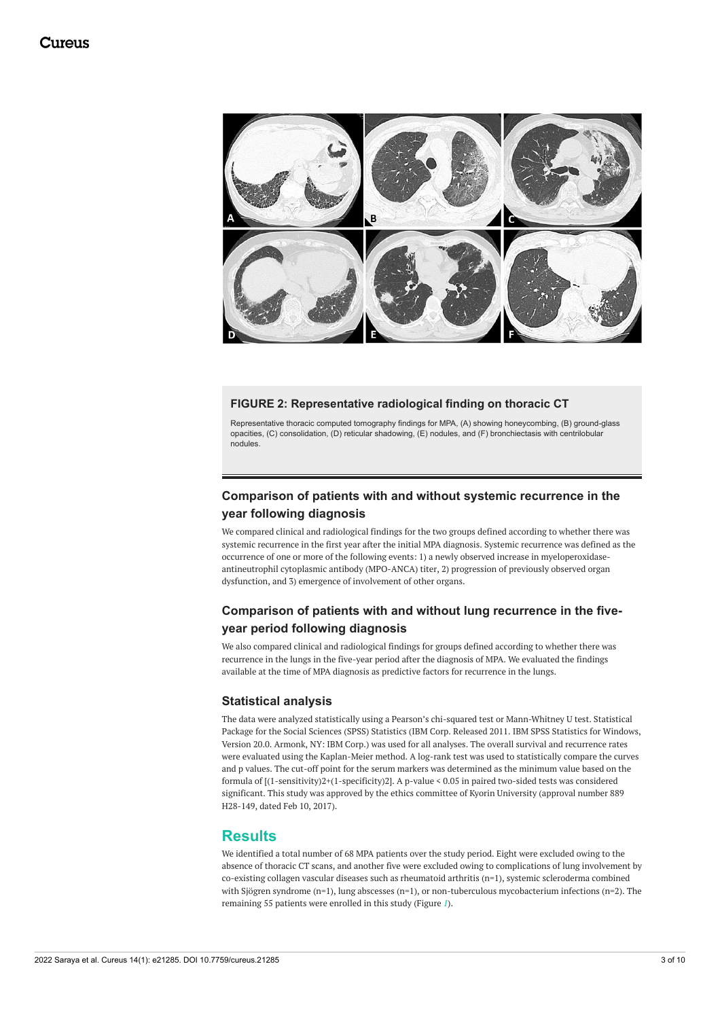<span id="page-2-0"></span>

### **FIGURE 2: Representative radiological finding on thoracic CT**

Representative thoracic computed tomography findings for MPA, (A) showing honeycombing, (B) ground-glass opacities, (C) consolidation, (D) reticular shadowing, (E) nodules, and (F) bronchiectasis with centrilobular nodules.

## **Comparison of patients with and without systemic recurrence in the year following diagnosis**

We compared clinical and radiological findings for the two groups defined according to whether there was systemic recurrence in the first year after the initial MPA diagnosis. Systemic recurrence was defined as the occurrence of one or more of the following events: 1) a newly observed increase in myeloperoxidaseantineutrophil cytoplasmic antibody (MPO-ANCA) titer, 2) progression of previously observed organ dysfunction, and 3) emergence of involvement of other organs.

## **Comparison of patients with and without lung recurrence in the fiveyear period following diagnosis**

We also compared clinical and radiological findings for groups defined according to whether there was recurrence in the lungs in the five-year period after the diagnosis of MPA. We evaluated the findings available at the time of MPA diagnosis as predictive factors for recurrence in the lungs.

### **Statistical analysis**

The data were analyzed statistically using a Pearson's chi-squared test or Mann-Whitney U test. Statistical Package for the Social Sciences (SPSS) Statistics (IBM Corp. Released 2011. IBM SPSS Statistics for Windows, Version 20.0. Armonk, NY: IBM Corp.) was used for all analyses. The overall survival and recurrence rates were evaluated using the Kaplan-Meier method. A log-rank test was used to statistically compare the curves and p values. The cut-off point for the serum markers was determined as the minimum value based on the formula of [(1-sensitivity)2+(1-specificity)2]. A p-value < 0.05 in paired two-sided tests was considered significant. This study was approved by the ethics committee of Kyorin University (approval number 889 H28-149, dated Feb 10, 2017).

## **Results**

We identified a total number of 68 MPA patients over the study period. Eight were excluded owing to the absence of thoracic CT scans, and another five were excluded owing to complications of lung involvement by co-existing collagen vascular diseases such as rheumatoid arthritis (n=1), systemic scleroderma combined with Sjögren syndrome (n=1), lung abscesses (n=1), or non-tuberculous mycobacterium infections (n=2). The remaining 55 patients were enrolled in this study (Figure *[1](#page-1-0)*).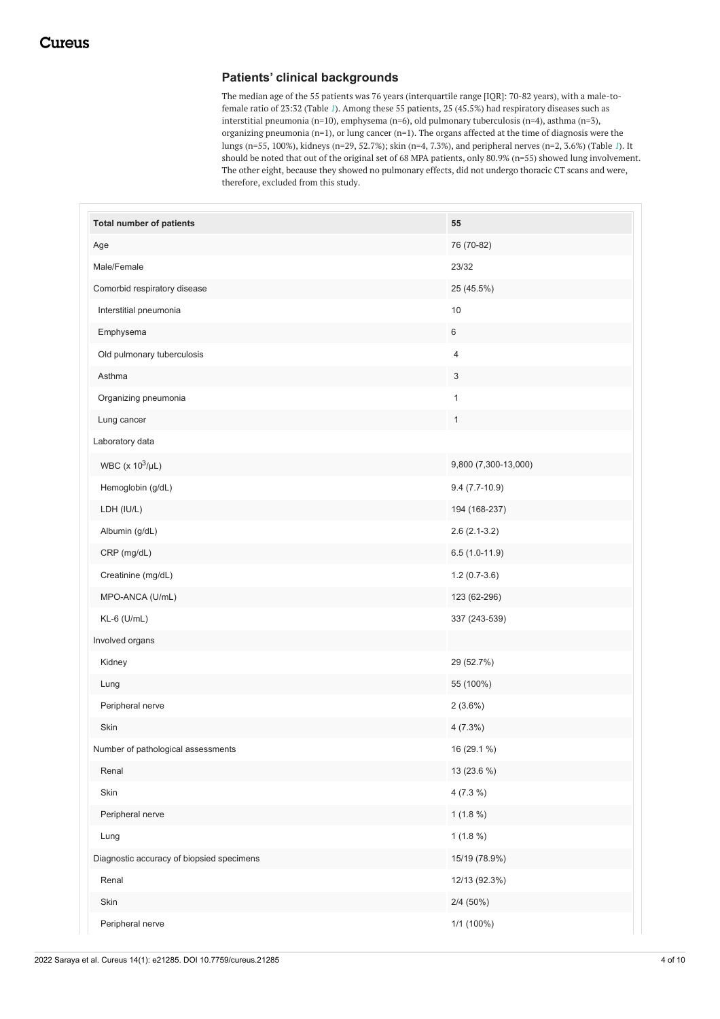## **Patients' clinical backgrounds**

The median age of the 55 patients was 76 years (interquartile range [IQR]: 70-82 years), with a male-tofemale ratio of 23:32 (Table *[1](#page-3-0)*). Among these 55 patients, 25 (45.5%) had respiratory diseases such as interstitial pneumonia (n=10), emphysema (n=6), old pulmonary tuberculosis (n=4), asthma (n=3), organizing pneumonia (n=1), or lung cancer (n=1). The organs affected at the time of diagnosis were the lungs (n=55, 100%), kidneys (n=29, 52.7%); skin (n=4, 7.3%), and peripheral nerves (n=2, 3.6%) (Table *[1](#page-3-0)*). It should be noted that out of the original set of 68 MPA patients, only 80.9% (n=55) showed lung involvement. The other eight, because they showed no pulmonary effects, did not undergo thoracic CT scans and were, therefore, excluded from this study.

<span id="page-3-0"></span>

| <b>Total number of patients</b>           | 55                   |
|-------------------------------------------|----------------------|
| Age                                       | 76 (70-82)           |
| Male/Female                               | 23/32                |
| Comorbid respiratory disease              | 25 (45.5%)           |
| Interstitial pneumonia                    | 10                   |
| Emphysema                                 | $\,6\,$              |
| Old pulmonary tuberculosis                | 4                    |
| Asthma                                    | 3                    |
| Organizing pneumonia                      | $\mathbf{1}$         |
| Lung cancer                               | $\mathbf{1}$         |
| Laboratory data                           |                      |
| WBC (x $10^3/\mu L$ )                     | 9,800 (7,300-13,000) |
| Hemoglobin (g/dL)                         | $9.4(7.7-10.9)$      |
| LDH (IU/L)                                | 194 (168-237)        |
| Albumin (g/dL)                            | $2.6(2.1-3.2)$       |
| CRP (mg/dL)                               | $6.5(1.0-11.9)$      |
| Creatinine (mg/dL)                        | $1.2(0.7-3.6)$       |
| MPO-ANCA (U/mL)                           | 123 (62-296)         |
| $KL-6$ (U/mL)                             | 337 (243-539)        |
| Involved organs                           |                      |
| Kidney                                    | 29 (52.7%)           |
| Lung                                      | 55 (100%)            |
| Peripheral nerve                          | $2(3.6\%)$           |
| Skin                                      | $4(7.3\%)$           |
| Number of pathological assessments        | 16 (29.1 %)          |
| Renal                                     | 13 (23.6 %)          |
| Skin                                      | $4(7.3\%)$           |
| Peripheral nerve                          | $1(1.8\%)$           |
| Lung                                      | $1(1.8\%)$           |
| Diagnostic accuracy of biopsied specimens | 15/19 (78.9%)        |
| Renal                                     | 12/13 (92.3%)        |
| Skin                                      | $2/4(50\%)$          |
| Peripheral nerve                          | 1/1 (100%)           |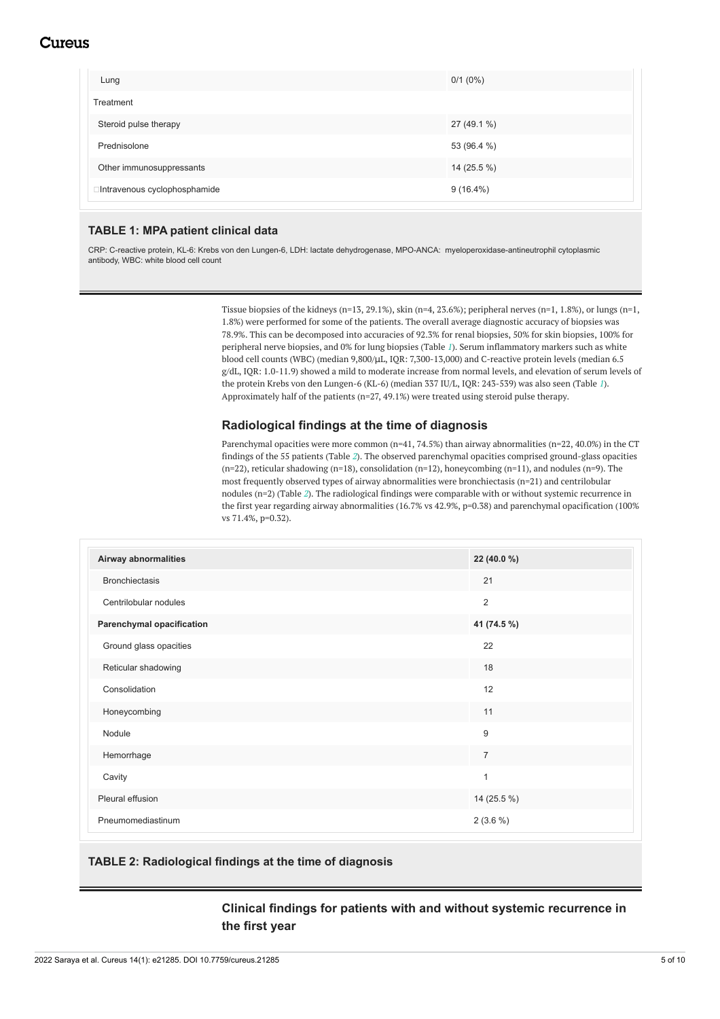# Cureus

| Lung                          | $0/1$ (0%)  |
|-------------------------------|-------------|
| Treatment                     |             |
| Steroid pulse therapy         | 27 (49.1 %) |
| Prednisolone                  | 53 (96.4 %) |
| Other immunosuppressants      | 14 (25.5 %) |
| □Intravenous cyclophosphamide | $9(16.4\%)$ |

### **TABLE 1: MPA patient clinical data**

CRP: C-reactive protein, KL-6: Krebs von den Lungen-6, LDH: lactate dehydrogenase, MPO-ANCA: myeloperoxidase-antineutrophil cytoplasmic antibody, WBC: white blood cell count

> Tissue biopsies of the kidneys (n=13, 29.1%), skin (n=4, 23.6%); peripheral nerves (n=1, 1.8%), or lungs (n=1, 1.8%) were performed for some of the patients. The overall average diagnostic accuracy of biopsies was 78.9%. This can be decomposed into accuracies of 92.3% for renal biopsies, 50% for skin biopsies, 100% for peripheral nerve biopsies, and 0% for lung biopsies (Table *[1](#page-3-0)*). Serum inflammatory markers such as white blood cell counts (WBC) (median 9,800/μL, IQR: 7,300-13,000) and C-reactive protein levels (median 6.5 g/dL, IQR: 1.0-11.9) showed a mild to moderate increase from normal levels, and elevation of serum levels of the protein Krebs von den Lungen-6 (KL-6) (median 337 IU/L, IQR: 243-539) was also seen (Table *[1](#page-3-0)*). Approximately half of the patients (n=27, 49.1%) were treated using steroid pulse therapy.

### **Radiological findings at the time of diagnosis**

Parenchymal opacities were more common (n=41, 74.5%) than airway abnormalities (n=22, 40.0%) in the CT findings of the 55 patients (Table *[2](#page-4-0)*). The observed parenchymal opacities comprised ground-glass opacities  $(n=22)$ , reticular shadowing  $(n=18)$ , consolidation  $(n=12)$ , honeycombing  $(n=11)$ , and nodules  $(n=9)$ . The most frequently observed types of airway abnormalities were bronchiectasis (n=21) and centrilobular nodules (n=2) (Table *[2](#page-4-0)*). The radiological findings were comparable with or without systemic recurrence in the first year regarding airway abnormalities (16.7% vs 42.9%, p=0.38) and parenchymal opacification (100% vs 71.4%, p=0.32).

<span id="page-4-0"></span>

| Airway abnormalities             | 22 (40.0 %)    |
|----------------------------------|----------------|
| <b>Bronchiectasis</b>            | 21             |
| Centrilobular nodules            | $\overline{2}$ |
| <b>Parenchymal opacification</b> | 41 (74.5 %)    |
| Ground glass opacities           | 22             |
| Reticular shadowing              | 18             |
| Consolidation                    | 12             |
| Honeycombing                     | 11             |
| Nodule                           | 9              |
| Hemorrhage                       | $\overline{7}$ |
| Cavity                           | 1              |
| Pleural effusion                 | 14 (25.5 %)    |
| Pneumomediastinum                | $2(3.6\%)$     |

### **TABLE 2: Radiological findings at the time of diagnosis**

## **Clinical findings for patients with and without systemic recurrence in the first year**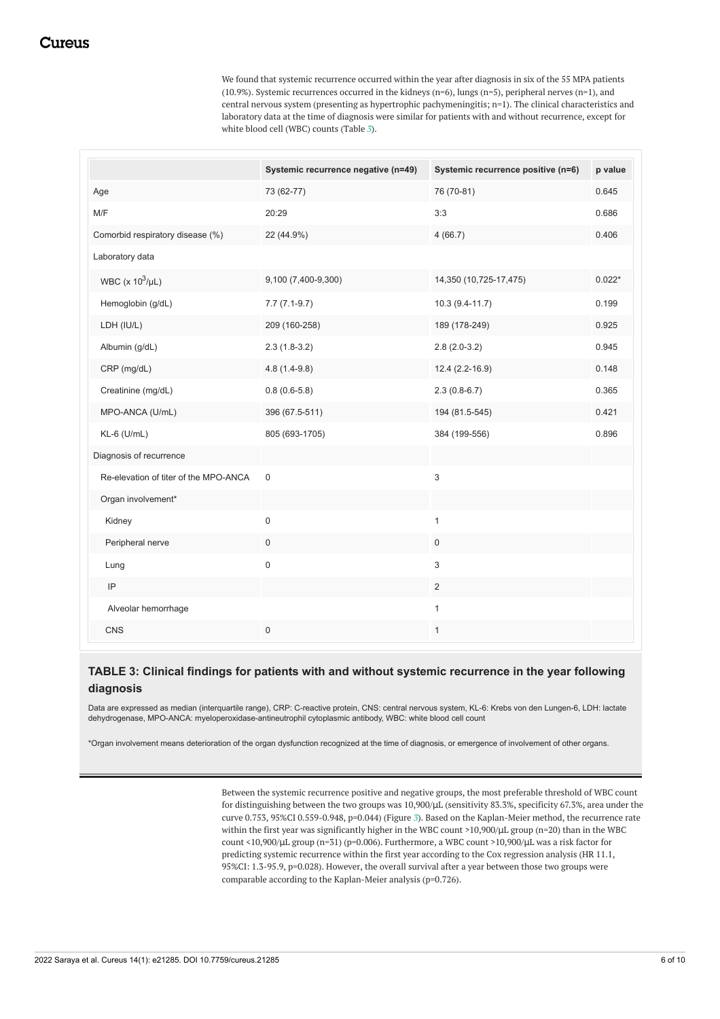We found that systemic recurrence occurred within the year after diagnosis in six of the 55 MPA patients  $(10.9%)$ . Systemic recurrences occurred in the kidneys (n=6), lungs (n=5), peripheral nerves (n=1), and central nervous system (presenting as hypertrophic pachymeningitis; n=1). The clinical characteristics and laboratory data at the time of diagnosis were similar for patients with and without recurrence, except for white blood cell (WBC) counts (Table *[3](#page-5-0)*).

<span id="page-5-0"></span>

|                                       | Systemic recurrence negative (n=49) | Systemic recurrence positive (n=6) | p value  |
|---------------------------------------|-------------------------------------|------------------------------------|----------|
| Age                                   | 73 (62-77)                          | 76 (70-81)                         | 0.645    |
| M/F                                   | 20:29                               | 3:3                                | 0.686    |
| Comorbid respiratory disease (%)      | 22 (44.9%)                          | 4(66.7)                            | 0.406    |
| Laboratory data                       |                                     |                                    |          |
| WBC ( $\times$ 10 <sup>3</sup> /µL)   | 9,100 (7,400-9,300)                 | 14,350 (10,725-17,475)             | $0.022*$ |
| Hemoglobin (g/dL)                     | $7.7(7.1-9.7)$                      | 10.3 (9.4-11.7)                    | 0.199    |
| LDH (IU/L)                            | 209 (160-258)                       | 189 (178-249)                      | 0.925    |
| Albumin (g/dL)                        | $2.3(1.8-3.2)$                      | $2.8(2.0-3.2)$                     | 0.945    |
| CRP (mg/dL)                           | $4.8(1.4-9.8)$                      | 12.4 (2.2-16.9)                    | 0.148    |
| Creatinine (mg/dL)                    | $0.8(0.6-5.8)$                      | $2.3(0.8-6.7)$                     | 0.365    |
| MPO-ANCA (U/mL)                       | 396 (67.5-511)                      | 194 (81.5-545)                     | 0.421    |
| KL-6 (U/mL)                           | 805 (693-1705)                      | 384 (199-556)                      | 0.896    |
| Diagnosis of recurrence               |                                     |                                    |          |
| Re-elevation of titer of the MPO-ANCA | $\mathbf 0$                         | 3                                  |          |
| Organ involvement*                    |                                     |                                    |          |
| Kidney                                | $\pmb{0}$                           | $\mathbf{1}$                       |          |
| Peripheral nerve                      | $\mathsf{O}\xspace$                 | $\mathbf 0$                        |          |
| Lung                                  | 0                                   | 3                                  |          |
| IP                                    |                                     | 2                                  |          |
| Alveolar hemorrhage                   |                                     | $\mathbf{1}$                       |          |
| CNS                                   | $\mathbf 0$                         | $\mathbf{1}$                       |          |

## **TABLE 3: Clinical findings for patients with and without systemic recurrence in the year following diagnosis**

Data are expressed as median (interquartile range), CRP: C-reactive protein, CNS: central nervous system, KL-6: Krebs von den Lungen-6, LDH: lactate dehydrogenase, MPO-ANCA: myeloperoxidase-antineutrophil cytoplasmic antibody, WBC: white blood cell count

\*Organ involvement means deterioration of the organ dysfunction recognized at the time of diagnosis, or emergence of involvement of other organs.

Between the systemic recurrence positive and negative groups, the most preferable threshold of WBC count for distinguishing between the two groups was 10,900/ $\mu$ L (sensitivity 83.3%, specificity 67.3%, area under the curve 0.753, 95%CI 0.559-0.948, p=0.044) (Figure *[3](#page-6-0)*). Based on the Kaplan-Meier method, the recurrence rate within the first year was significantly higher in the WBC count >10,900/μL group (n=20) than in the WBC count <10,900/μL group (n=31) (p=0.006). Furthermore, a WBC count >10,900/μL was a risk factor for predicting systemic recurrence within the first year according to the Cox regression analysis (HR 11.1, 95%CI: 1.3-95.9, p=0.028). However, the overall survival after a year between those two groups were comparable according to the Kaplan-Meier analysis (p=0.726).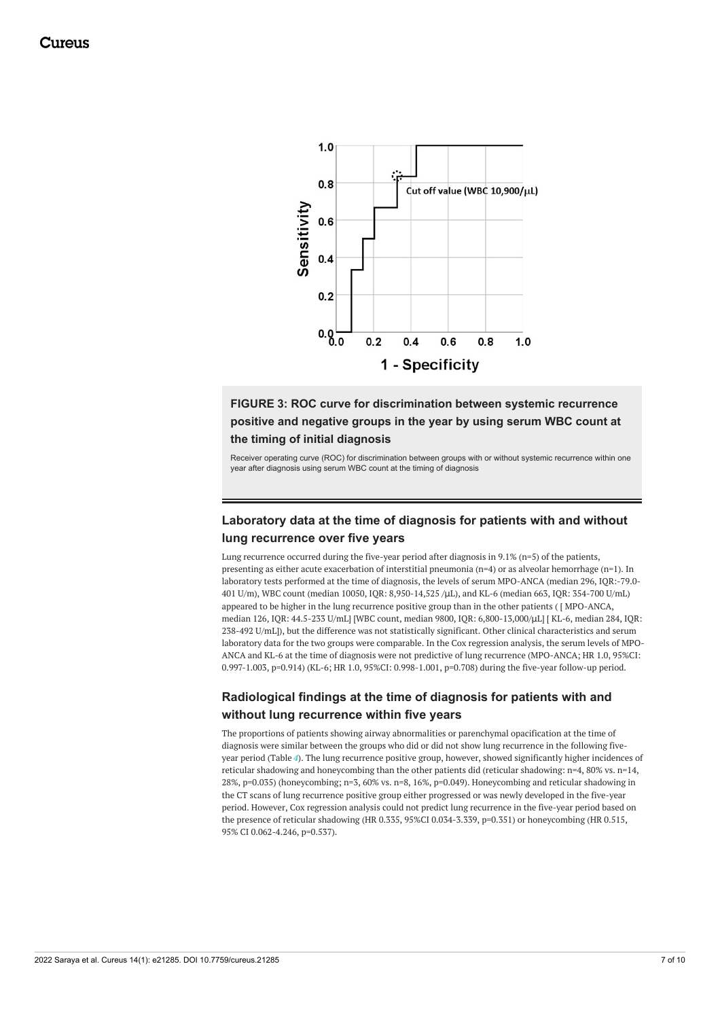<span id="page-6-0"></span>

**FIGURE 3: ROC curve for discrimination between systemic recurrence positive and negative groups in the year by using serum WBC count at the timing of initial diagnosis**

Receiver operating curve (ROC) for discrimination between groups with or without systemic recurrence within one year after diagnosis using serum WBC count at the timing of diagnosis

## **Laboratory data at the time of diagnosis for patients with and without lung recurrence over five years**

Lung recurrence occurred during the five-year period after diagnosis in 9.1% (n=5) of the patients, presenting as either acute exacerbation of interstitial pneumonia (n=4) or as alveolar hemorrhage (n=1). In laboratory tests performed at the time of diagnosis, the levels of serum MPO-ANCA (median 296, IQR:-79.0- 401 U/m), WBC count (median 10050, IQR: 8,950-14,525 /μL), and KL-6 (median 663, IQR: 354-700 U/mL) appeared to be higher in the lung recurrence positive group than in the other patients ( [ MPO-ANCA, median 126, IQR: 44.5-233 U/mL] [WBC count, median 9800, IQR: 6,800-13,000/μL] [ KL-6, median 284, IQR: 238-492 U/mL]), but the difference was not statistically significant. Other clinical characteristics and serum laboratory data for the two groups were comparable. In the Cox regression analysis, the serum levels of MPO-ANCA and KL-6 at the time of diagnosis were not predictive of lung recurrence (MPO-ANCA; HR 1.0, 95%CI: 0.997-1.003, p=0.914) (KL-6; HR 1.0, 95%CI: 0.998-1.001, p=0.708) during the five-year follow-up period.

## **Radiological findings at the time of diagnosis for patients with and without lung recurrence within five years**

The proportions of patients showing airway abnormalities or parenchymal opacification at the time of diagnosis were similar between the groups who did or did not show lung recurrence in the following fiveyear period (Table *[4](#page-7-0)*). The lung recurrence positive group, however, showed significantly higher incidences of reticular shadowing and honeycombing than the other patients did (reticular shadowing: n=4, 80% vs. n=14, 28%, p=0.035) (honeycombing; n=3, 60% vs. n=8, 16%, p=0.049). Honeycombing and reticular shadowing in the CT scans of lung recurrence positive group either progressed or was newly developed in the five-year period. However, Cox regression analysis could not predict lung recurrence in the five-year period based on the presence of reticular shadowing (HR 0.335, 95%CI 0.034-3.339, p=0.351) or honeycombing (HR 0.515, 95% CI 0.062-4.246, p=0.537).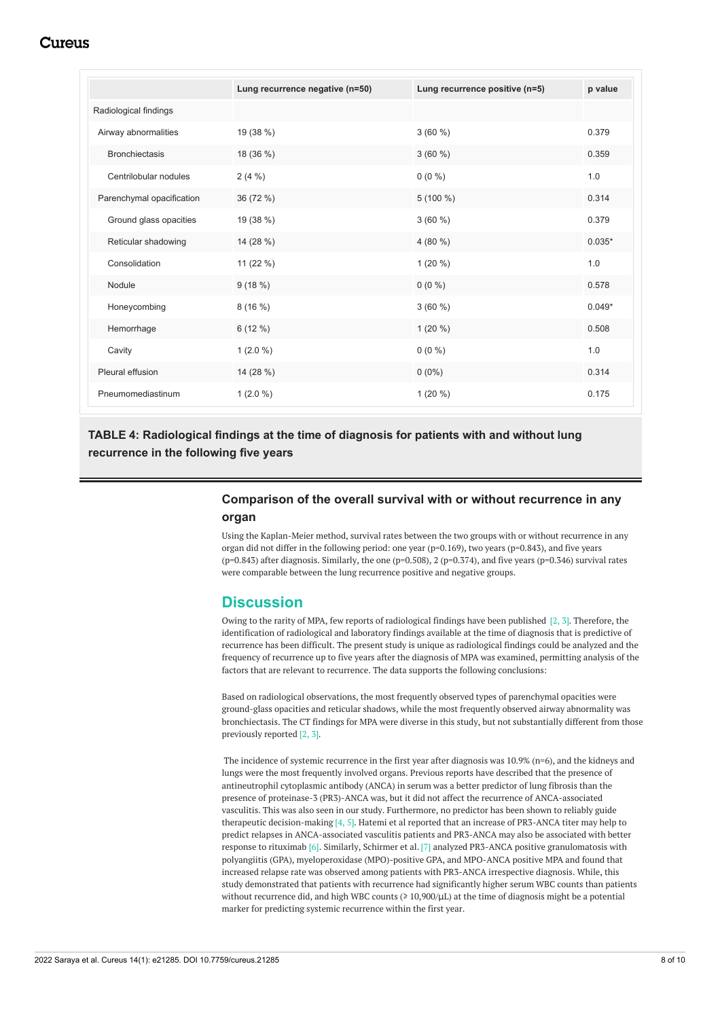# Cureus

<span id="page-7-0"></span>

|                           | Lung recurrence negative (n=50) | Lung recurrence positive (n=5) | p value  |
|---------------------------|---------------------------------|--------------------------------|----------|
| Radiological findings     |                                 |                                |          |
| Airway abnormalities      | 19 (38 %)                       | $3(60\%)$                      | 0.379    |
| <b>Bronchiectasis</b>     | 18 (36 %)                       | $3(60\%)$                      | 0.359    |
| Centrilobular nodules     | $2(4\%)$                        | $0(0\%)$                       | 1.0      |
| Parenchymal opacification | 36 (72 %)                       | $5(100\%)$                     | 0.314    |
| Ground glass opacities    | 19 (38 %)                       | $3(60\%)$                      | 0.379    |
| Reticular shadowing       | 14 (28 %)                       | 4 (80 %)                       | $0.035*$ |
| Consolidation             | 11 $(22\%)$                     | 1 $(20\%)$                     | 1.0      |
| Nodule                    | 9(18%)                          | $0(0\%)$                       | 0.578    |
| Honeycombing              | 8(16%)                          | $3(60\%)$                      | $0.049*$ |
| Hemorrhage                | $6(12\%)$                       | 1 $(20\%)$                     | 0.508    |
| Cavity                    | $1(2.0\%)$                      | $0(0\%)$                       | 1.0      |
| Pleural effusion          | 14 (28 %)                       | $0(0\%)$                       | 0.314    |
| Pneumomediastinum         | $1(2.0\%)$                      | 1 $(20\%)$                     | 0.175    |

## **TABLE 4: Radiological findings at the time of diagnosis for patients with and without lung recurrence in the following five years**

## **Comparison of the overall survival with or without recurrence in any organ**

Using the Kaplan-Meier method, survival rates between the two groups with or without recurrence in any organ did not differ in the following period: one year (p=0.169), two years (p=0.843), and five years ( $p=0.843$ ) after diagnosis. Similarly, the one ( $p=0.508$ ), 2 ( $p=0.374$ ), and five years ( $p=0.346$ ) survival rates were comparable between the lung recurrence positive and negative groups.

## **Discussion**

Owing to the rarity of MPA, few reports of radiological findings have been published [2, 3]. Therefore, the identification of radiological and laboratory findings available at the time of diagnosis that is predictive of recurrence has been difficult. The present study is unique as radiological findings could be analyzed and the frequency of recurrence up to five years after the diagnosis of MPA was examined, permitting analysis of the factors that are relevant to recurrence. The data supports the following conclusions:

Based on radiological observations, the most frequently observed types of parenchymal opacities were ground-glass opacities and reticular shadows, while the most frequently observed airway abnormality was bronchiectasis. The CT findings for MPA were diverse in this study, but not substantially different from those previously reported [2, 3].

The incidence of systemic recurrence in the first year after diagnosis was 10.9% (n=6), and the kidneys and lungs were the most frequently involved organs. Previous reports have described that the presence of antineutrophil cytoplasmic antibody (ANCA) in serum was a better predictor of lung fibrosis than the presence of proteinase-3 (PR3)-ANCA was, but it did not affect the recurrence of ANCA-associated vasculitis. This was also seen in our study. Furthermore, no predictor has been shown to reliably guide therapeutic decision-making [4, 5]. Hatemi et al reported that an increase of PR3-ANCA titer may help to predict relapses in ANCA-associated vasculitis patients and PR3-ANCA may also be associated with better response to rituximab [6]. Similarly, Schirmer et al. [7] analyzed PR3-ANCA positive granulomatosis with polyangiitis (GPA), myeloperoxidase (MPO)-positive GPA, and MPO-ANCA positive MPA and found that increased relapse rate was observed among patients with PR3-ANCA irrespective diagnosis. While, this study demonstrated that patients with recurrence had significantly higher serum WBC counts than patients without recurrence did, and high WBC counts ( $\geq 10,900/\mu$ L) at the time of diagnosis might be a potential marker for predicting systemic recurrence within the first year.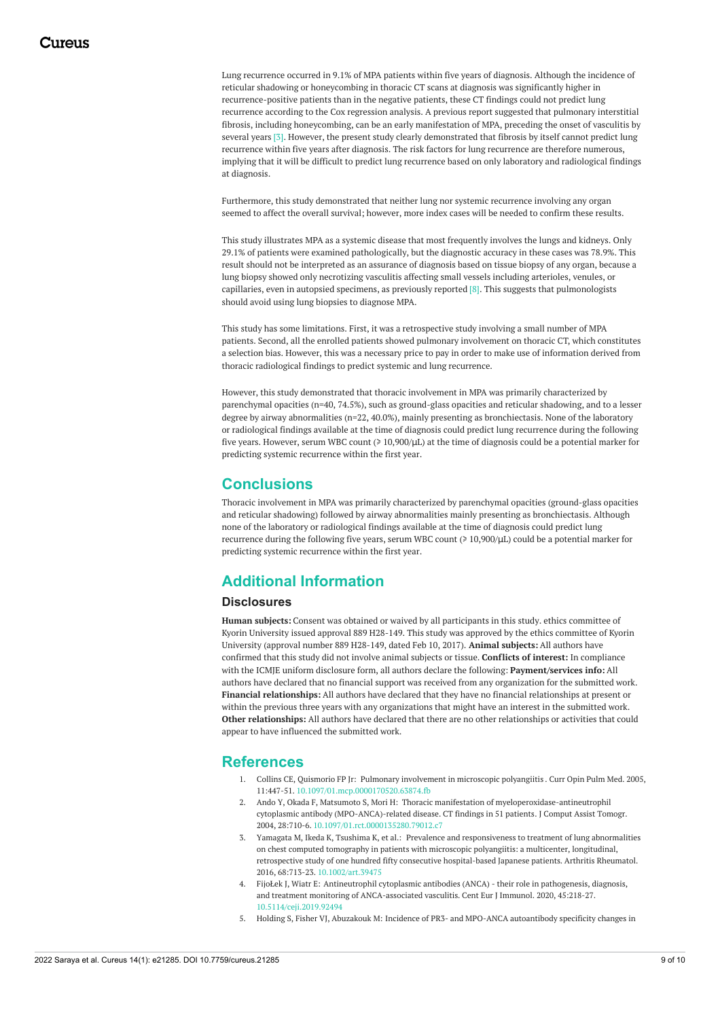Lung recurrence occurred in 9.1% of MPA patients within five years of diagnosis. Although the incidence of reticular shadowing or honeycombing in thoracic CT scans at diagnosis was significantly higher in recurrence-positive patients than in the negative patients, these CT findings could not predict lung recurrence according to the Cox regression analysis. A previous report suggested that pulmonary interstitial fibrosis, including honeycombing, can be an early manifestation of MPA, preceding the onset of vasculitis by several years [3]. However, the present study clearly demonstrated that fibrosis by itself cannot predict lung recurrence within five years after diagnosis. The risk factors for lung recurrence are therefore numerous, implying that it will be difficult to predict lung recurrence based on only laboratory and radiological findings at diagnosis.

Furthermore, this study demonstrated that neither lung nor systemic recurrence involving any organ seemed to affect the overall survival; however, more index cases will be needed to confirm these results.

This study illustrates MPA as a systemic disease that most frequently involves the lungs and kidneys. Only 29.1% of patients were examined pathologically, but the diagnostic accuracy in these cases was 78.9%. This result should not be interpreted as an assurance of diagnosis based on tissue biopsy of any organ, because a lung biopsy showed only necrotizing vasculitis affecting small vessels including arterioles, venules, or capillaries, even in autopsied specimens, as previously reported  $[8]$ . This suggests that pulmonologists should avoid using lung biopsies to diagnose MPA.

This study has some limitations. First, it was a retrospective study involving a small number of MPA patients. Second, all the enrolled patients showed pulmonary involvement on thoracic CT, which constitutes a selection bias. However, this was a necessary price to pay in order to make use of information derived from thoracic radiological findings to predict systemic and lung recurrence.

However, this study demonstrated that thoracic involvement in MPA was primarily characterized by parenchymal opacities (n=40, 74.5%), such as ground-glass opacities and reticular shadowing, and to a lesser degree by airway abnormalities (n=22, 40.0%), mainly presenting as bronchiectasis. None of the laboratory or radiological findings available at the time of diagnosis could predict lung recurrence during the following five years. However, serum WBC count (≥ 10,900/μL) at the time of diagnosis could be a potential marker for predicting systemic recurrence within the first year.

# **Conclusions**

Thoracic involvement in MPA was primarily characterized by parenchymal opacities (ground-glass opacities and reticular shadowing) followed by airway abnormalities mainly presenting as bronchiectasis. Although none of the laboratory or radiological findings available at the time of diagnosis could predict lung recurrence during the following five years, serum WBC count (≥ 10,900/μL) could be a potential marker for predicting systemic recurrence within the first year.

# **Additional Information**

### **Disclosures**

**Human subjects:** Consent was obtained or waived by all participants in this study. ethics committee of Kyorin University issued approval 889 H28-149. This study was approved by the ethics committee of Kyorin University (approval number 889 H28-149, dated Feb 10, 2017). **Animal subjects:** All authors have confirmed that this study did not involve animal subjects or tissue. **Conflicts of interest:** In compliance with the ICMJE uniform disclosure form, all authors declare the following: **Payment/services info:** All authors have declared that no financial support was received from any organization for the submitted work. **Financial relationships:** All authors have declared that they have no financial relationships at present or within the previous three years with any organizations that might have an interest in the submitted work. **Other relationships:** All authors have declared that there are no other relationships or activities that could appear to have influenced the submitted work.

## **References**

- 1. Collins CE, Quismorio FP Jr: Pulmonary [involvement](https://dx.doi.org/10.1097/01.mcp.0000170520.63874.fb) in microscopic polyangiitis . Curr Opin Pulm Med. 2005, 11:447-51. [10.1097/01.mcp.0000170520.63874.fb](https://dx.doi.org/10.1097/01.mcp.0000170520.63874.fb)
- 2. Ando Y, Okada F, Matsumoto S, Mori H: Thoracic manifestation of [myeloperoxidase-antineutrophil](https://dx.doi.org/10.1097/01.rct.0000135280.79012.c7) cytoplasmic antibody (MPO-ANCA)-related disease. CT findings in 51 patients. J Comput Assist Tomogr. 2004, 28:710-6. [10.1097/01.rct.0000135280.79012.c7](https://dx.doi.org/10.1097/01.rct.0000135280.79012.c7)
- 3. Yamagata M, Ikeda K, Tsushima K, et al.: Prevalence and [responsiveness](https://dx.doi.org/10.1002/art.39475) to treatment of lung abnormalities on chest computed tomography in patients with microscopic polyangiitis: a multicenter, longitudinal, retrospective study of one hundred fifty consecutive hospital-based Japanese patients. Arthritis Rheumatol. 2016, 68:713-23. [10.1002/art.39475](https://dx.doi.org/10.1002/art.39475)
- 4. FijoŁek J, Wiatr E: Antineutrophil cytoplasmic antibodies (ANCA) their role in pathogenesis, diagnosis, and treatment monitoring of [ANCA-associated](https://dx.doi.org/10.5114/ceji.2019.92494) vasculitis. Cent Eur J Immunol. 2020, 45:218-27. [10.5114/ceji.2019.92494](https://dx.doi.org/10.5114/ceji.2019.92494)
- 5. Holding S, Fisher VJ, Abuzakouk M: Incidence of PR3- and MPO-ANCA [autoantibody](https://dx.doi.org/10.1177/0004563214533668) specificity changes in